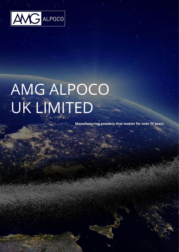

# AMG ALPOCO UK LIMITED

**Manufacturing powders that matter for over 70 years**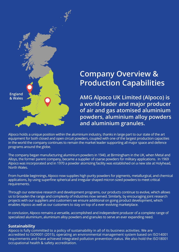

## **Company Overview & Production Capabilities**

**AMG Alpoco UK Limited (Alpoco) is a world leader and major producer of air and gas atomised aluminium powders, aluminium alloy powders and aluminium granules.**

Alpoco holds a unique position within the aluminium industry, thanks in large part to our state of the art equipment for both closed and open circuit powders, coupled with one of the largest production capacities in the world the company continues to remain the market leader supporting all major space and defence programs around the globe.

The company began manufacturing aluminium powders in 1940, at Birmingham in the UK, when Metal and Alloys, the former parent company, became a supplier of coarse powders for military applications. In 1969 Alpoco was incorporated and in 1970 a powder atomizing facility was established on a new site at Holyhead, North Wales.

From humble beginnings, Alpoco now supplies high purity powders for pigments, metallurgical, and chemical applications, by using superfine spherical and irregular shaped micron sized powders to meet critical requirements.

Through our extensive research and development programs, our products continue to evolve, which allows us to broaden the range and complexity of industries now served. Similarly, by encouraging joint research projects with our suppliers and customers we ensure additional on going product development, which enables Alpoco as well as our customers to stay on top of a ever evolving marketplace.

In conclusion, Alpoco remains a versatile, accomplished and independent producer of a complete range of specialized aluminium, aluminium alloy powders and granules to serve an ever expanding need.

#### **Sustainability**

Alpoco is fully committed to a policy of sustainability in all of its business activities. We are accredited to ISO9001 (2015), operating an environmental management system based on ISO14001 requirements and have achieved integrated pollution prevention status. We also hold the ISO18001 occupational health & safety accreditation.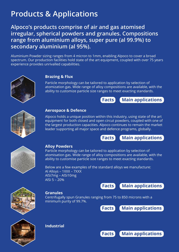## **Products & Applications**

**Alpoco's products comprise of air and gas atomised irregular, spherical powders and granules. Compositions range from aluminium alloys, super pure (al 99.9%) to secondary aluminium (al 95%).**

Aluminium Powder sizing ranges from 4 micron to 1mm, enabling Alpoco to cover a broad spectrum. Our production facilities hold state of the art equipment, coupled with over 75 years experience provides unrivalled capabilities.



#### **Brazing & Flux**

Particle morphology can be tailored to application by selection of atomization gas. Wide range of alloy compositions are available, with the ability to customize particle size ranges to meet exacting standards.





#### **Aerospace & Defence**

Alpoco holds a unique position within this industry, using state of the art equipment for both closed and open circut powders, coupled with one of the largest production capacities. Alpoco continues to remain the market leader supporting all major space and defence programs, globally.

**Facts Main applications** 



#### **Alloy Powders**

Particle morphology can be tailored to application by selection of atomisation gas. Wide range of alloy compositions are available, with the ability to customise particle size ranges to meet exacting standards.

Below are a few examples of the standard alloys we manufacture: Al Alloys – 1XXX – 7XXX AlSi7mg – AlSi10mg AlSi 5 – 20%



#### **Granules**

Centrifugally spun Granules ranging from 75 to 850 microns with a minimum purity of 99.7%.

**Facts Main applications**

**Facts Main applications**



#### **Industrial**